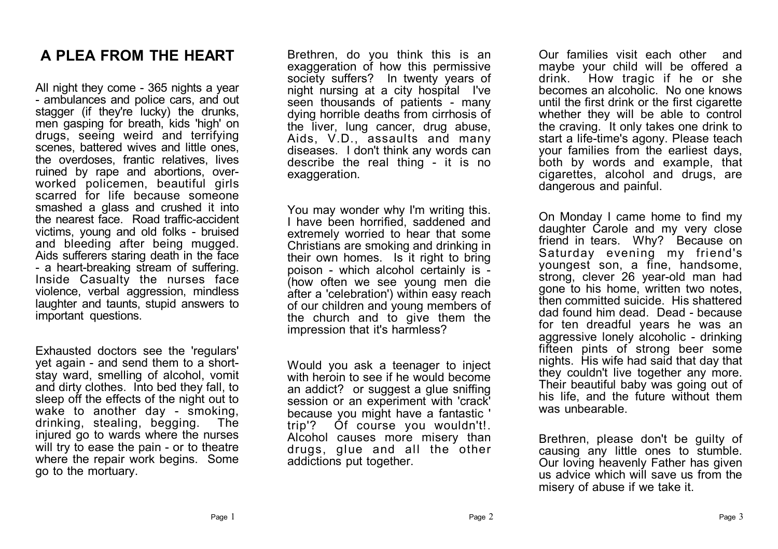### **A PLEA FROM THE HEART**

All night they come - 365 nights a year - ambulances and police cars, and out stagger (if they're lucky) the drunks, men gasping for breath, kids 'high' on drugs, seeing weird and terrifying scenes, battered wives and little ones. the overdoses, frantic relatives, lives ruined by rape and abortions, overworked policemen, beautiful girls scarred for life because someone smashed a glass and crushed it into the nearest face. Road traffic-accident victims, young and old folks - bruised and bleeding after being mugged. Aids sufferers staring death in the face - a heart-breaking stream of suffering. Inside Casualty the nurses face violence, verbal aggression, mindless laughter and taunts, stupid answers to important questions.

Exhausted doctors see the 'regulars' yet again - and send them to a shortstay ward, smelling of alcohol, vomit and dirty clothes. Into bed they fall, to sleep off the effects of the night out to wake to another day - smoking, drinking, stealing, begging. The injured go to wards where the nurses will try to ease the pain - or to theatre where the repair work begins. Some go to the mortuary.

Brethren, do you think this is an exaggeration of how this permissive society suffers? In twenty years of night nursing at a city hospital I've seen thousands of patients - many dying horrible deaths from cirrhosis of the liver, lung cancer, drug abuse, Aids, V.D., assaults and many diseases. I don't think any words can describe the real thing - it is no exaggeration.

You may wonder why I'm writing this. I have been horrified, saddened and extremely worried to hear that some Christians are smoking and drinking in their own homes. Is it right to bring poison - which alcohol certainly is - (how often we see young men die after a 'celebration') within easy reach of our children and young members of the church and to give them the impression that it's harmless?

Would you ask a teenager to inject with heroin to see if he would become an addict? or suggest a glue sniffing session or an experiment with 'crack' because you might have a fantastic ' trip'? Of course you wouldn't!. Alcohol causes more misery than drugs, glue and all the other addictions put together.

Our families visit each other and maybe your child will be offered a drink. How tragic if he or she becomes an alcoholic. No one knows until the first drink or the first cigarette whether they will be able to control the craving. It only takes one drink to start a life-time's agony. Please teach your families from the earliest days, both by words and example, that cigarettes, alcohol and drugs, are dangerous and painful.

On Monday I came home to find my daughter Carole and my very close friend in tears. Why? Because on Saturday evening my friend's youngest son, a fine, handsome, strong, clever 26 year-old man had gone to his home, written two notes, then committed suicide. His shattered dad found him dead. Dead - because for ten dreadful years he was an aggressive lonely alcoholic - drinking fifteen pints of strong beer some nights. His wife had said that day that they couldn't live together any more. Their beautiful baby was going out of his life, and the future without them was unbearable.

Brethren, please don't be guilty of causing any little ones to stumble. Our loving heavenly Father has given us advice which will save us from the misery of abuse if we take it.